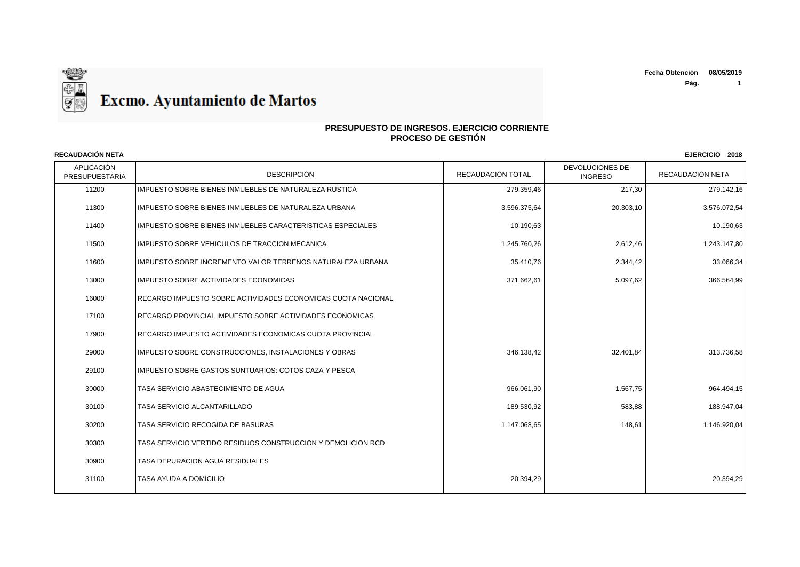

### **PRESUPUESTO DE INGRESOS. EJERCICIO CORRIENTE PROCESO DE GESTIÓN**

API ICACIÓN PRESUPUESTARIA | DESCRIPCIÓN DESCRIPCIÓN | RECAUDACIÓN TOTAL | TINGRESO DEVOLUCIONES DE RECAUDACIÓN NETA **RECAUDACIÓN NETA EJERCICIO 2018** 11200 IMPUESTO SOBRE BIENES INMUEBLES DE NATURALEZA RUSTICA 279.359,46 217,30 279.142,16 11300 IMPUESTO SOBRE BIENES INMUEBLES DE NATURALEZA URBANA 3.596.375,64 20.303,10 3.576.072,54 11400 IMPUESTO SOBRE BIENES INMUEBLES CARACTERISTICAS ESPECIALES 10.190, 10.190,63 10.190,63 10.190,63 10.190,63 10.190,63 10.190,63 10.190,63 10.190,63 10.190,63 10.190,63 10.190,63 10.190,63 10.190,63 10.190,63 10.190,63 11500 |IMPUESTO SOBRE VEHICULOS DE TRACCION MECANICA 1.245.1.25 | 1.245.760,26 | 2.612,46 | 2.612,46 | 1.243.147,80 11600 IMPUESTO SOBRE INCREMENTO VALOR TERRENOS NATURALEZA URBANA 35.410,76 2.344,42 33.066,34 13000 IMPUESTO SOBRE ACTIVIDADES ECONOMICAS 371.662,61 5.097,62 366.564,99 16000 RECARGO IMPUESTO SOBRE ACTIVIDADES ECONOMICAS CUOTA NACIONAL 17100 RECARGO PROVINCIAL IMPUESTO SOBRE ACTIVIDADES ECONOMICAS 17900 RECARGO IMPUESTO ACTIVIDADES ECONOMICAS CUOTA PROVINCIAL 29000 |IMPUESTO SOBRE CONSTRUCCIONES, INSTALACIONES Y OBRAS 346.138,42 346.138,42 32.401,84 32.401,84 313.736,58 29100 | IMPUESTO SOBRE GASTOS SUNTUARIOS: COTOS CAZA Y PESCA 30000 TASA SERVICIO ABASTECIMIENTO DE AGUA 966.061,90 1.567,75 964.494,15 30100 TASA SERVICIO ALCANTARILLADO 189.530,92 583,88 188.947,04 30200 TASA SERVICIO RECOGIDA DE BASURAS 1.147.068,65 148,61 1.146.920,04 30300 TASA SERVICIO VERTIDO RESIDUOS CONSTRUCCION Y DEMOLICION RCD 30900 TASA DEPURACION AGUA RESIDUALES 31100 TASA AYUDA A DOMICILIO 20.394,29 20.394,29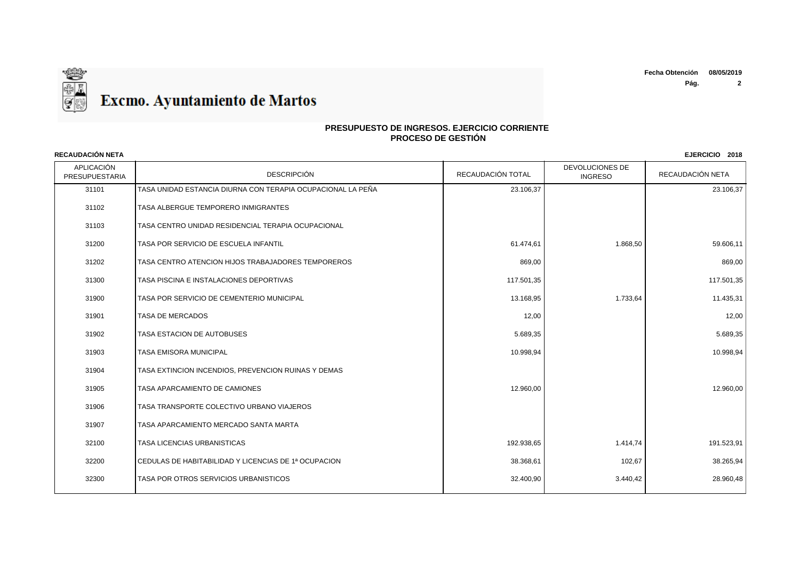**Fecha Obtención 08/05/2019**

**Pág. 2**



### **PRESUPUESTO DE INGRESOS. EJERCICIO CORRIENTE PROCESO DE GESTIÓN**

APLICACIÓN PRESUPUESTARIA | DESCRIPCIÓN DESCRIPCIÓN | RECAUDACIÓN TOTAL | TINGRESO DEVOLUCIONES DE RECAUDACIÓN NETA **RECAUDACIÓN NETA EJERCICIO 2018** TASA UNIDAD ESTANCIA DIURNA CON TERAPIA OCUPACIONAL LA PEÑA 23.106,37 23.106,37 TASA ALBERGUE TEMPORERO INMIGRANTES TASA CENTRO UNIDAD RESIDENCIAL TERAPIA OCUPACIONAL 31200 TASA POR SERVICIO DE ESCUELA INFANTIL CHE ESCUELA INFANTIL CHE ESCUELA INFANTIL CHE ESCUELA INFANTIL CHE ESCUELA INFANTIL TASA CENTRO ATENCION HIJOS TRABAJADORES TEMPOREROS 869,00 869,00 31300 TASA PISCINA E INSTALACIONES DEPORTIVAS 117 ANNO 1999 117.501,35 117.501,35 117.501,35 117.501,35 117.501,35 31900 TASA POR SERVICIO DE CEMENTERIO MUNICIPAL 13.168,95 1.733,64 1.733,64 1.733,64 1.733,64 1.733,64 1.733,64 TASA DE MERCADOS 12,00 12,00 TASA ESTACION DE AUTOBUSES 5.689,35 5.689,35 TASA EMISORA MUNICIPAL 10.998,94 10.998,94 TASA EXTINCION INCENDIOS, PREVENCION RUINAS Y DEMAS TASA APARCAMIENTO DE CAMIONES 12.960,00 12.960,00 TASA TRANSPORTE COLECTIVO URBANO VIAJEROS TASA APARCAMIENTO MERCADO SANTA MARTA TASA LICENCIAS URBANISTICAS 192.938,65 1.414,74 191.523,91 CEDULAS DE HABITABILIDAD Y LICENCIAS DE 1ª OCUPACION 38.368,61 102,67 38.265,94 TASA POR OTROS SERVICIOS URBANISTICOS 32.400,90 3.440,42 28.960,48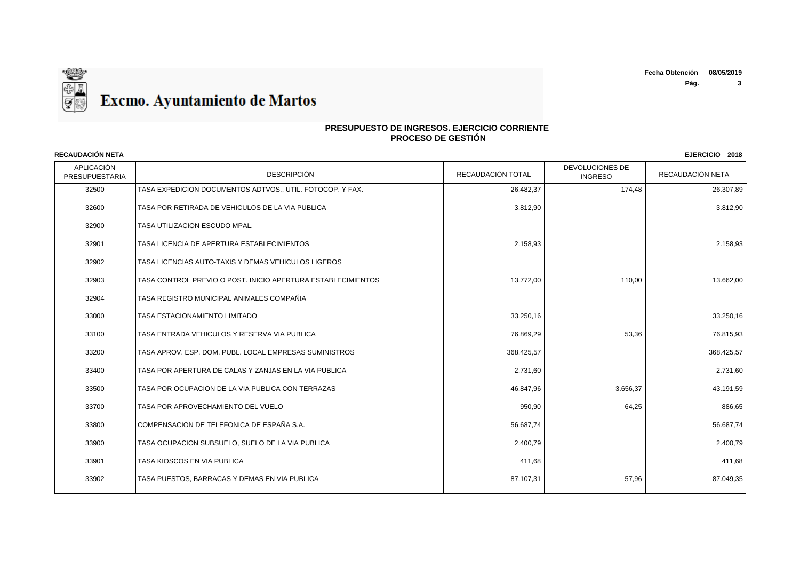

| <b>RECAUDACIÓN NETA</b>      |                                                              |                   |                                          | EJERCICIO 2018   |
|------------------------------|--------------------------------------------------------------|-------------------|------------------------------------------|------------------|
| APLICACIÓN<br>PRESUPUESTARIA | <b>DESCRIPCIÓN</b>                                           | RECAUDACIÓN TOTAL | <b>DEVOLUCIONES DE</b><br><b>INGRESO</b> | RECAUDACIÓN NETA |
| 32500                        | TASA EXPEDICION DOCUMENTOS ADTVOS., UTIL. FOTOCOP. Y FAX.    | 26.482,37         | 174,48                                   | 26.307,89        |
| 32600                        | TASA POR RETIRADA DE VEHICULOS DE LA VIA PUBLICA             | 3.812,90          |                                          | 3.812,90         |
| 32900                        | TASA UTILIZACION ESCUDO MPAL.                                |                   |                                          |                  |
| 32901                        | TASA LICENCIA DE APERTURA ESTABLECIMIENTOS                   | 2.158,93          |                                          | 2.158,93         |
| 32902                        | TASA LICENCIAS AUTO-TAXIS Y DEMAS VEHICULOS LIGEROS          |                   |                                          |                  |
| 32903                        | TASA CONTROL PREVIO O POST. INICIO APERTURA ESTABLECIMIENTOS | 13.772,00         | 110,00                                   | 13.662,00        |
| 32904                        | TASA REGISTRO MUNICIPAL ANIMALES COMPAÑIA                    |                   |                                          |                  |
| 33000                        | <b>TASA ESTACIONAMIENTO LIMITADO</b>                         | 33.250,16         |                                          | 33.250,16        |
| 33100                        | TASA ENTRADA VEHICULOS Y RESERVA VIA PUBLICA                 | 76.869,29         | 53,36                                    | 76.815,93        |
| 33200                        | TASA APROV. ESP. DOM. PUBL. LOCAL EMPRESAS SUMINISTROS       | 368.425,57        |                                          | 368.425,57       |
| 33400                        | TASA POR APERTURA DE CALAS Y ZANJAS EN LA VIA PUBLICA        | 2.731,60          |                                          | 2.731,60         |
| 33500                        | TASA POR OCUPACION DE LA VIA PUBLICA CON TERRAZAS            | 46.847,96         | 3.656,37                                 | 43.191,59        |
| 33700                        | TASA POR APROVECHAMIENTO DEL VUELO                           | 950,90            | 64,25                                    | 886,65           |
| 33800                        | COMPENSACION DE TELEFONICA DE ESPAÑA S.A.                    | 56.687,74         |                                          | 56.687,74        |
| 33900                        | TASA OCUPACION SUBSUELO, SUELO DE LA VIA PUBLICA             | 2.400,79          |                                          | 2.400,79         |
| 33901                        | TASA KIOSCOS EN VIA PUBLICA                                  | 411,68            |                                          | 411,68           |
| 33902                        | TASA PUESTOS. BARRACAS Y DEMAS EN VIA PUBLICA                | 87.107,31         | 57,96                                    | 87.049,35        |
|                              |                                                              |                   |                                          |                  |

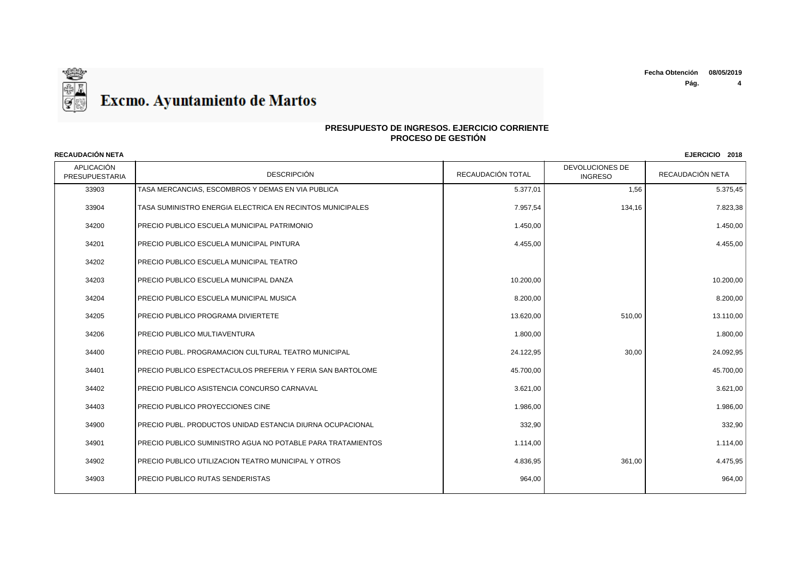**Pág. 4**



### **PRESUPUESTO DE INGRESOS. EJERCICIO CORRIENTE PROCESO DE GESTIÓN**

APLICACIÓN PRESUPUESTARIA | DESCRIPCIÓN DESCRIPCIÓN | RECAUDACIÓN TOTAL | TINGRESO DEVOLUCIONES DE RECAUDACIÓN NETA **RECAUDACIÓN NETA EJERCICIO 2018** 33903 TASA MERCANCIAS. ESCOMBROS Y DEMAS EN VIA PUBLICA SERVICE SOLO SERVICE DE LA SURFACE DE LA SOLO SERVICE D 33904 TASA SUMINISTRO ENERGIA ELECTRICA EN RECINTOS MUNICIPALES 7.957,54 134,16 7.823,38 34200 PRECIO PUBLICO ESCUELA MUNICIPAL PATRIMONIO 1.450,00 1.450,00 34201 PRECIO PUBLICO ESCUELA MUNICIPAL PINTURA 4.455,00 4.455,00 34202 PRECIO PUBLICO ESCUELA MUNICIPAL TEATRO 34203 PRECIO PUBLICO ESCUELA MUNICIPAL DANZA 10.200,00 10.200,00 34204 PRECIO PUBLICO ESCUELA MUNICIPAL MUSICA 8.200,00 8.200,00 34205 PRECIO PUBLICO PROGRAMA DIVIERTETE 13.620,00 13.620,00 510,00 510,00 13.110,00 ation of the set of the property of the set of the set of the set of the set of the set of the set of the set of the set of the set of the set of the set of the set of the set of the set of the set of the set of the set of 34400 PRECIO PUBL. PROGRAMACION CULTURAL TEATRO MUNICIPAL 24.122,95 30,00 24.092,95 34401 PRECIO PUBLICO ESPECTACULOS PREFERIA Y FERIA SAN BARTOLOME 45.700,00 45.700,00 45.700,00 34402 PRECIO PUBLICO ASISTENCIA CONCURSO CARNAVAL 3.621,00 3.621,00 3.621,00 34403 PRECIO PUBLICO PROYECCIONES CINE 1.986,00 1.986,00 34900 PRECIO PUBL. PRODUCTOS UNIDAD ESTANCIA DIURNA OCUPACIONAL 332,90 332,90 34901 PRECIO PUBLICO SUMINISTRO AGUA NO POTABLE PARA TRATAMIENTOS 1.114,00 and 1.114,00 and 1.114,00 in the control of the control of the control of the control of the control of the control of the control of the control o 34902 PRECIO PUBLICO UTILIZACION TEATRO MUNICIPAL Y OTROS 4.836 4.836 4.836,95 4.836,95 4.836,95 361,00 4.475,95 34903 PRECIO PUBLICO RUTAS SENDERISTAS 964,00 964,00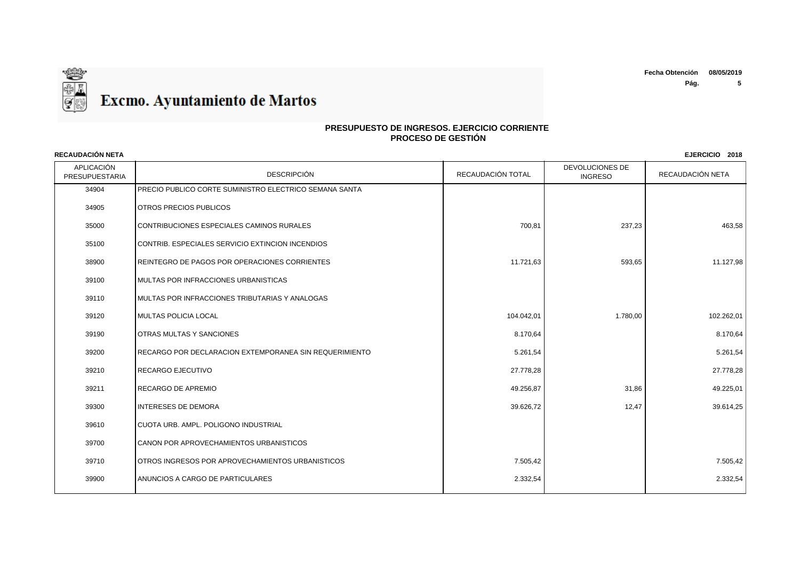

| <b>RECAUDACION NETA</b><br>EJERCICIO 2018 |                                                        |                   |                                          |                  |
|-------------------------------------------|--------------------------------------------------------|-------------------|------------------------------------------|------------------|
| APLICACIÓN<br>PRESUPUESTARIA              | <b>DESCRIPCIÓN</b>                                     | RECAUDACIÓN TOTAL | <b>DEVOLUCIONES DE</b><br><b>INGRESO</b> | RECAUDACIÓN NETA |
| 34904                                     | PRECIO PUBLICO CORTE SUMINISTRO ELECTRICO SEMANA SANTA |                   |                                          |                  |
| 34905                                     | OTROS PRECIOS PUBLICOS                                 |                   |                                          |                  |
| 35000                                     | CONTRIBUCIONES ESPECIALES CAMINOS RURALES              | 700,81            | 237,23                                   | 463,58           |
| 35100                                     | CONTRIB. ESPECIALES SERVICIO EXTINCION INCENDIOS       |                   |                                          |                  |
| 38900                                     | REINTEGRO DE PAGOS POR OPERACIONES CORRIENTES          | 11.721,63         | 593,65                                   | 11.127,98        |
| 39100                                     | MULTAS POR INFRACCIONES URBANISTICAS                   |                   |                                          |                  |
| 39110                                     | MULTAS POR INFRACCIONES TRIBUTARIAS Y ANALOGAS         |                   |                                          |                  |
| 39120                                     | <b>MULTAS POLICIA LOCAL</b>                            | 104.042,01        | 1.780,00                                 | 102.262,01       |
| 39190                                     | <b>OTRAS MULTAS Y SANCIONES</b>                        | 8.170,64          |                                          | 8.170,64         |
| 39200                                     | RECARGO POR DECLARACION EXTEMPORANEA SIN REQUERIMIENTO | 5.261,54          |                                          | 5.261,54         |
| 39210                                     | <b>RECARGO EJECUTIVO</b>                               | 27.778,28         |                                          | 27.778,28        |
| 39211                                     | <b>RECARGO DE APREMIO</b>                              | 49.256,87         | 31,86                                    | 49.225,01        |
| 39300                                     | <b>INTERESES DE DEMORA</b>                             | 39.626,72         | 12,47                                    | 39.614,25        |
| 39610                                     | CUOTA URB. AMPL. POLIGONO INDUSTRIAL                   |                   |                                          |                  |
| 39700                                     | CANON POR APROVECHAMIENTOS URBANISTICOS                |                   |                                          |                  |
| 39710                                     | OTROS INGRESOS POR APROVECHAMIENTOS URBANISTICOS       | 7.505,42          |                                          | 7.505,42         |
| 39900                                     | ANUNCIOS A CARGO DE PARTICULARES                       | 2.332,54          |                                          | 2.332,54         |
|                                           |                                                        |                   |                                          |                  |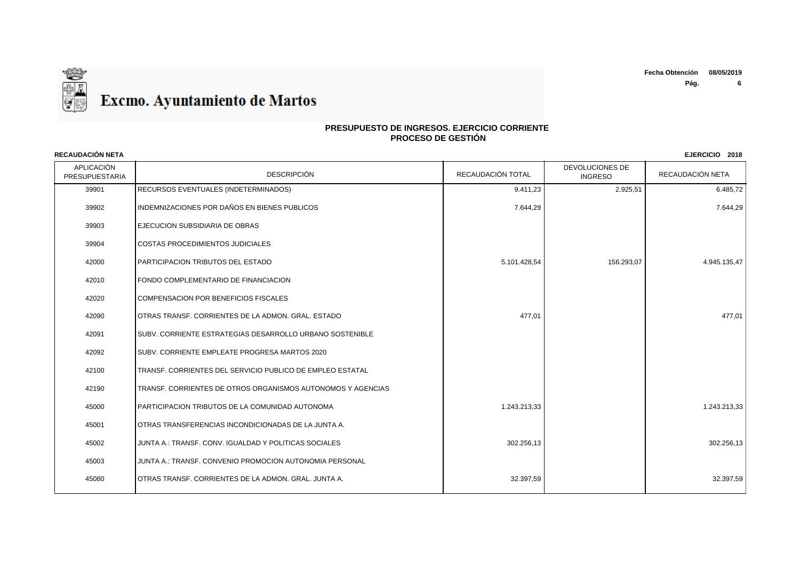

| <b>RECAUDACIÓN NETA</b>      |                                                              |                   |                                   | EJERCICIO 2018   |
|------------------------------|--------------------------------------------------------------|-------------------|-----------------------------------|------------------|
| APLICACIÓN<br>PRESUPUESTARIA | <b>DESCRIPCIÓN</b>                                           | RECAUDACIÓN TOTAL | DEVOLUCIONES DE<br><b>INGRESO</b> | RECAUDACIÓN NETA |
| 39901                        | RECURSOS EVENTUALES (INDETERMINADOS)                         | 9.411,23          | 2.925,51                          | 6.485,72         |
| 39902                        | INDEMNIZACIONES POR DAÑOS EN BIENES PUBLICOS                 | 7.644,29          |                                   | 7.644,29         |
| 39903                        | <b>IEJECUCION SUBSIDIARIA DE OBRAS</b>                       |                   |                                   |                  |
| 39904                        | COSTAS PROCEDIMIENTOS JUDICIALES                             |                   |                                   |                  |
| 42000                        | <b>PARTICIPACION TRIBUTOS DEL ESTADO</b>                     | 5.101.428,54      | 156.293,07                        | 4.945.135,47     |
| 42010                        | FONDO COMPLEMENTARIO DE FINANCIACION                         |                   |                                   |                  |
| 42020                        | COMPENSACION POR BENEFICIOS FISCALES                         |                   |                                   |                  |
| 42090                        | <b>JOTRAS TRANSF. CORRIENTES DE LA ADMON. GRAL. ESTADO</b>   | 477,01            |                                   | 477,01           |
| 42091                        | SUBV. CORRIENTE ESTRATEGIAS DESARROLLO URBANO SOSTENIBLE     |                   |                                   |                  |
| 42092                        | ISUBV. CORRIENTE EMPLEATE PROGRESA MARTOS 2020               |                   |                                   |                  |
| 42100                        | TRANSF, CORRIENTES DEL SERVICIO PUBLICO DE EMPLEO ESTATAL    |                   |                                   |                  |
| 42190                        | TRANSF. CORRIENTES DE OTROS ORGANISMOS AUTONOMOS Y AGENCIAS  |                   |                                   |                  |
| 45000                        | <b>PARTICIPACION TRIBUTOS DE LA COMUNIDAD AUTONOMA</b>       | 1.243.213,33      |                                   | 1.243.213,33     |
| 45001                        | <b>IOTRAS TRANSFERENCIAS INCONDICIONADAS DE LA JUNTA A.</b>  |                   |                                   |                  |
| 45002                        | JUNTA A.: TRANSF. CONV. IGUALDAD Y POLITICAS SOCIALES        | 302.256,13        |                                   | 302.256,13       |
| 45003                        | JUNTA A.: TRANSF. CONVENIO PROMOCION AUTONOMIA PERSONAL      |                   |                                   |                  |
| 45080                        | <b>IOTRAS TRANSF. CORRIENTES DE LA ADMON. GRAL. JUNTA A.</b> | 32.397,59         |                                   | 32.397,59        |
|                              |                                                              |                   |                                   |                  |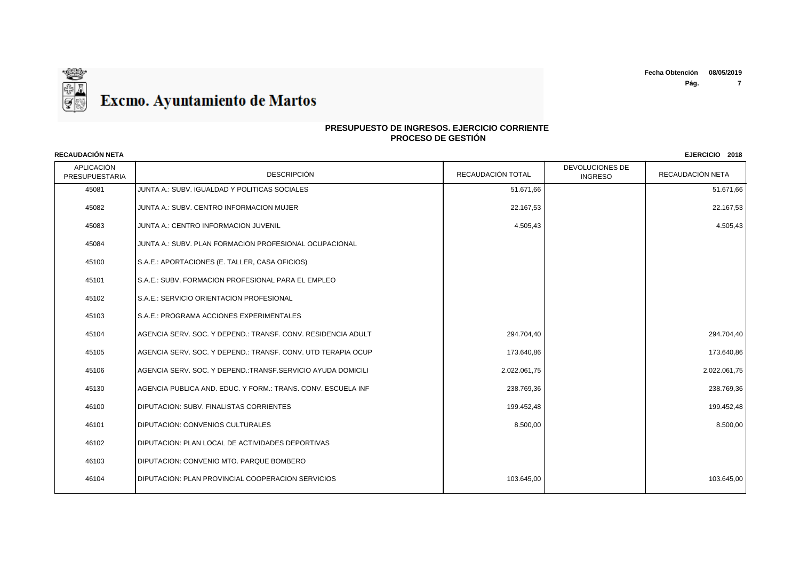

## **PRESUPUESTO DE INGRESOS. EJERCICIO CORRIENTE PROCESO DE GESTIÓN**

| <b>RECAUDACIÓN NETA</b><br>EJERCICIO 2018 |                                                              |                   |                                   |                  |
|-------------------------------------------|--------------------------------------------------------------|-------------------|-----------------------------------|------------------|
| APLICACIÓN<br>PRESUPUESTARIA              | <b>DESCRIPCIÓN</b>                                           | RECAUDACIÓN TOTAL | DEVOLUCIONES DE<br><b>INGRESO</b> | RECAUDACIÓN NETA |
| 45081                                     | JUNTA A.: SUBV. IGUALDAD Y POLITICAS SOCIALES                | 51.671,66         |                                   | 51.671,66        |
| 45082                                     | JUNTA A.: SUBV, CENTRO INFORMACION MUJER                     | 22.167,53         |                                   | 22.167,53        |
| 45083                                     | JUNTA A.: CENTRO INFORMACION JUVENIL                         | 4.505,43          |                                   | 4.505,43         |
| 45084                                     | JUNTA A.: SUBV. PLAN FORMACION PROFESIONAL OCUPACIONAL       |                   |                                   |                  |
| 45100                                     | S.A.E.: APORTACIONES (E. TALLER, CASA OFICIOS)               |                   |                                   |                  |
| 45101                                     | S.A.E.: SUBV. FORMACION PROFESIONAL PARA EL EMPLEO           |                   |                                   |                  |
| 45102                                     | S.A.E.: SERVICIO ORIENTACION PROFESIONAL                     |                   |                                   |                  |
| 45103                                     | S.A.E.: PROGRAMA ACCIONES EXPERIMENTALES                     |                   |                                   |                  |
| 45104                                     | AGENCIA SERV. SOC. Y DEPEND.: TRANSF. CONV. RESIDENCIA ADULT | 294.704,40        |                                   | 294.704,40       |
| 45105                                     | AGENCIA SERV. SOC. Y DEPEND.: TRANSF. CONV. UTD TERAPIA OCUP | 173.640,86        |                                   | 173.640,86       |
| 45106                                     | AGENCIA SERV. SOC. Y DEPEND.:TRANSF.SERVICIO AYUDA DOMICILI  | 2.022.061,75      |                                   | 2.022.061,75     |
| 45130                                     | AGENCIA PUBLICA AND. EDUC. Y FORM.: TRANS. CONV. ESCUELA INF | 238.769,36        |                                   | 238.769,36       |
| 46100                                     | <b>DIPUTACION: SUBV. FINALISTAS CORRIENTES</b>               | 199.452,48        |                                   | 199.452,48       |
| 46101                                     | <b>DIPUTACION: CONVENIOS CULTURALES</b>                      | 8.500,00          |                                   | 8.500,00         |
| 46102                                     | I DIPUTACION: PLAN LOCAL DE ACTIVIDADES DEPORTIVAS           |                   |                                   |                  |
| 46103                                     | DIPUTACION: CONVENIO MTO. PARQUE BOMBERO                     |                   |                                   |                  |
| 46104                                     | <b>IDIPUTACION: PLAN PROVINCIAL COOPERACION SERVICIOS</b>    | 103.645,00        |                                   | 103.645,00       |
|                                           |                                                              |                   |                                   |                  |

# ❤ ş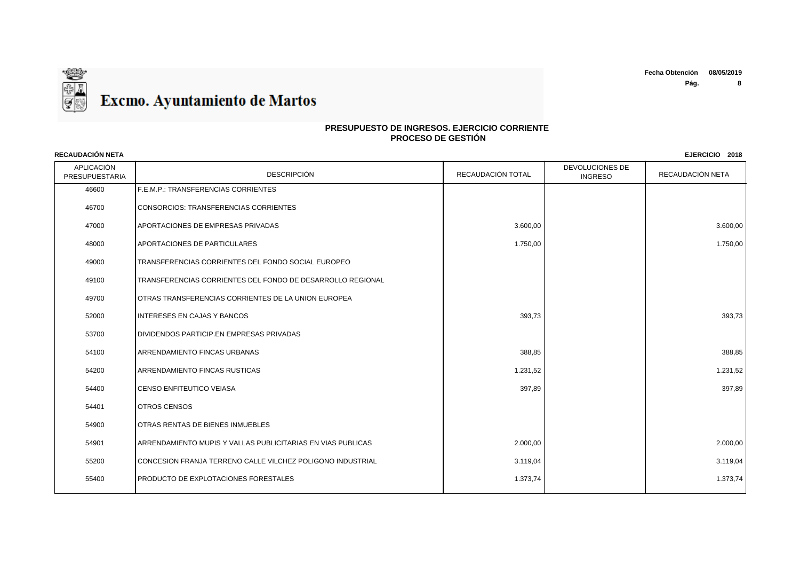

| <b>RECAUDACION NETA</b><br>EJERCICIO 2018 |                                                             |                   |                                   |                  |
|-------------------------------------------|-------------------------------------------------------------|-------------------|-----------------------------------|------------------|
| APLICACIÓN<br><b>PRESUPUESTARIA</b>       | <b>DESCRIPCIÓN</b>                                          | RECAUDACIÓN TOTAL | DEVOLUCIONES DE<br><b>INGRESO</b> | RECAUDACIÓN NETA |
| 46600                                     | F.E.M.P.: TRANSFERENCIAS CORRIENTES                         |                   |                                   |                  |
| 46700                                     | CONSORCIOS: TRANSFERENCIAS CORRIENTES                       |                   |                                   |                  |
| 47000                                     | APORTACIONES DE EMPRESAS PRIVADAS                           | 3.600.00          |                                   | 3.600.00         |
| 48000                                     | <b>APORTACIONES DE PARTICULARES</b>                         | 1.750,00          |                                   | 1.750,00         |
| 49000                                     | TRANSFERENCIAS CORRIENTES DEL FONDO SOCIAL EUROPEO          |                   |                                   |                  |
| 49100                                     | TRANSFERENCIAS CORRIENTES DEL FONDO DE DESARROLLO REGIONAL  |                   |                                   |                  |
| 49700                                     | I OTRAS TRANSFERENCIAS CORRIENTES DE LA UNION EUROPEA       |                   |                                   |                  |
| 52000                                     | INTERESES EN CAJAS Y BANCOS                                 | 393,73            |                                   | 393,73           |
| 53700                                     | DIVIDENDOS PARTICIP.EN EMPRESAS PRIVADAS                    |                   |                                   |                  |
| 54100                                     | <b>ARRENDAMIENTO FINCAS URBANAS</b>                         | 388,85            |                                   | 388,85           |
| 54200                                     | <b>ARRENDAMIENTO FINCAS RUSTICAS</b>                        | 1.231,52          |                                   | 1.231,52         |
| 54400                                     | <b>CENSO ENFITEUTICO VEIASA</b>                             | 397,89            |                                   | 397,89           |
| 54401                                     | <b>OTROS CENSOS</b>                                         |                   |                                   |                  |
| 54900                                     | OTRAS RENTAS DE BIENES INMUEBLES                            |                   |                                   |                  |
| 54901                                     | ARRENDAMIENTO MUPIS Y VALLAS PUBLICITARIAS EN VIAS PUBLICAS | 2.000,00          |                                   | 2.000,00         |
| 55200                                     | CONCESION FRANJA TERRENO CALLE VILCHEZ POLIGONO INDUSTRIAL  | 3.119,04          |                                   | 3.119,04         |
| 55400                                     | <b>PRODUCTO DE EXPLOTACIONES FORESTALES</b>                 | 1.373,74          |                                   | 1.373,74         |
|                                           |                                                             |                   |                                   |                  |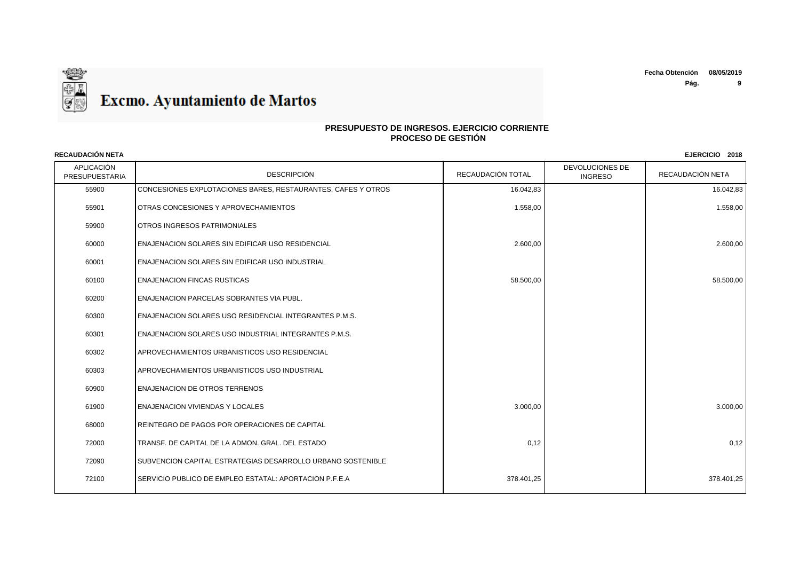

| <b>RECAUDACION NETA</b><br>EJERCICIO 2018 |                                                              |                   |                                   |                  |
|-------------------------------------------|--------------------------------------------------------------|-------------------|-----------------------------------|------------------|
| APLICACIÓN<br><b>PRESUPUESTARIA</b>       | <b>DESCRIPCIÓN</b>                                           | RECAUDACIÓN TOTAL | DEVOLUCIONES DE<br><b>INGRESO</b> | RECAUDACIÓN NETA |
| 55900                                     | CONCESIONES EXPLOTACIONES BARES, RESTAURANTES, CAFES Y OTROS | 16.042,83         |                                   | 16.042,83        |
| 55901                                     | OTRAS CONCESIONES Y APROVECHAMIENTOS                         | 1.558,00          |                                   | 1.558,00         |
| 59900                                     | <b>I</b> OTROS INGRESOS PATRIMONIALES                        |                   |                                   |                  |
| 60000                                     | I ENAJENACION SOLARES SIN EDIFICAR USO RESIDENCIAL           | 2.600,00          |                                   | 2.600,00         |
| 60001                                     | ENAJENACION SOLARES SIN EDIFICAR USO INDUSTRIAL              |                   |                                   |                  |
| 60100                                     | <b>ENAJENACION FINCAS RUSTICAS</b>                           | 58.500,00         |                                   | 58.500,00        |
| 60200                                     | ENAJENACION PARCELAS SOBRANTES VIA PUBL.                     |                   |                                   |                  |
| 60300                                     | I ENAJENACION SOLARES USO RESIDENCIAL INTEGRANTES P.M.S.     |                   |                                   |                  |
| 60301                                     | ENAJENACION SOLARES USO INDUSTRIAL INTEGRANTES P.M.S.        |                   |                                   |                  |
| 60302                                     | APROVECHAMIENTOS URBANISTICOS USO RESIDENCIAL                |                   |                                   |                  |
| 60303                                     | APROVECHAMIENTOS URBANISTICOS USO INDUSTRIAL                 |                   |                                   |                  |
| 60900                                     | <b>ENAJENACION DE OTROS TERRENOS</b>                         |                   |                                   |                  |
| 61900                                     | <b>ENAJENACION VIVIENDAS Y LOCALES</b>                       | 3.000,00          |                                   | 3.000,00         |
| 68000                                     | REINTEGRO DE PAGOS POR OPERACIONES DE CAPITAL                |                   |                                   |                  |
| 72000                                     | TRANSF. DE CAPITAL DE LA ADMON. GRAL. DEL ESTADO             | 0,12              |                                   | 0,12             |
| 72090                                     | SUBVENCION CAPITAL ESTRATEGIAS DESARROLLO URBANO SOSTENIBLE  |                   |                                   |                  |
| 72100                                     | SERVICIO PUBLICO DE EMPLEO ESTATAL: APORTACION P.F.E.A       | 378.401,25        |                                   | 378.401,25       |
|                                           |                                                              |                   |                                   |                  |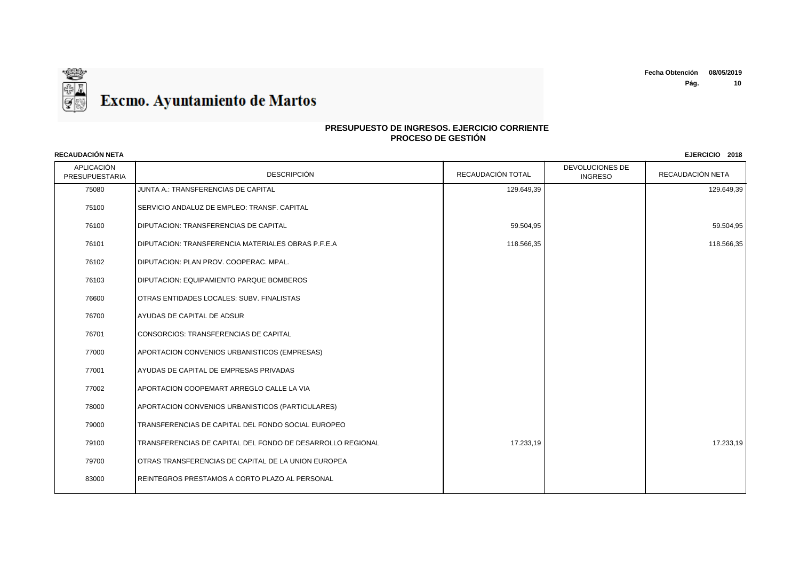

| <b>RECAUDACIÓN NETA</b><br>EJERCICIO 2018 |                                                            |                   |                                   |                  |
|-------------------------------------------|------------------------------------------------------------|-------------------|-----------------------------------|------------------|
| APLICACIÓN<br>PRESUPUESTARIA              | <b>DESCRIPCIÓN</b>                                         | RECAUDACIÓN TOTAL | DEVOLUCIONES DE<br><b>INGRESO</b> | RECAUDACIÓN NETA |
| 75080                                     | JUNTA A.: TRANSFERENCIAS DE CAPITAL                        | 129.649,39        |                                   | 129.649,39       |
| 75100                                     | SERVICIO ANDALUZ DE EMPLEO: TRANSF, CAPITAL                |                   |                                   |                  |
| 76100                                     | <b>DIPUTACION: TRANSFERENCIAS DE CAPITAL</b>               | 59.504,95         |                                   | 59.504,95        |
| 76101                                     | DIPUTACION: TRANSFERENCIA MATERIALES OBRAS P.F.E.A         | 118.566,35        |                                   | 118.566,35       |
| 76102                                     | DIPUTACION: PLAN PROV. COOPERAC. MPAL.                     |                   |                                   |                  |
| 76103                                     | DIPUTACION: EQUIPAMIENTO PARQUE BOMBEROS                   |                   |                                   |                  |
| 76600                                     | OTRAS ENTIDADES LOCALES: SUBV. FINALISTAS                  |                   |                                   |                  |
| 76700                                     | AYUDAS DE CAPITAL DE ADSUR                                 |                   |                                   |                  |
| 76701                                     | CONSORCIOS: TRANSFERENCIAS DE CAPITAL                      |                   |                                   |                  |
| 77000                                     | APORTACION CONVENIOS URBANISTICOS (EMPRESAS)               |                   |                                   |                  |
| 77001                                     | AYUDAS DE CAPITAL DE EMPRESAS PRIVADAS                     |                   |                                   |                  |
| 77002                                     | APORTACION COOPEMART ARREGLO CALLE LA VIA                  |                   |                                   |                  |
| 78000                                     | APORTACION CONVENIOS URBANISTICOS (PARTICULARES)           |                   |                                   |                  |
| 79000                                     | TRANSFERENCIAS DE CAPITAL DEL FONDO SOCIAL EUROPEO         |                   |                                   |                  |
| 79100                                     | TRANSFERENCIAS DE CAPITAL DEL FONDO DE DESARROLLO REGIONAL | 17.233,19         |                                   | 17.233,19        |
| 79700                                     | OTRAS TRANSFERENCIAS DE CAPITAL DE LA UNION EUROPEA        |                   |                                   |                  |
| 83000                                     | REINTEGROS PRESTAMOS A CORTO PLAZO AL PERSONAL             |                   |                                   |                  |
|                                           |                                                            |                   |                                   |                  |